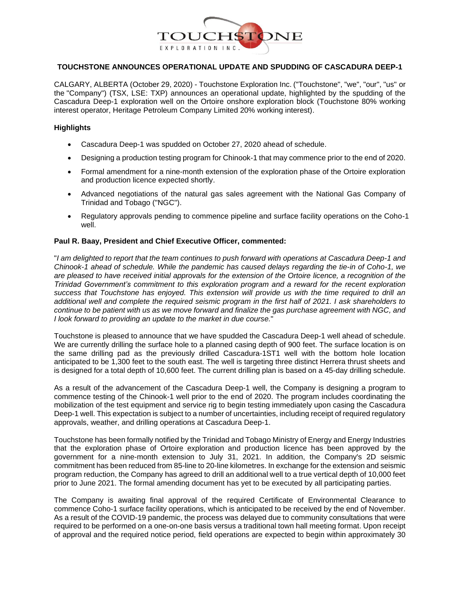

## **TOUCHSTONE ANNOUNCES OPERATIONAL UPDATE AND SPUDDING OF CASCADURA DEEP-1**

CALGARY, ALBERTA (October 29, 2020) - Touchstone Exploration Inc. ("Touchstone", "we", "our", "us" or the "Company") (TSX, LSE: TXP) announces an operational update, highlighted by the spudding of the Cascadura Deep-1 exploration well on the Ortoire onshore exploration block (Touchstone 80% working interest operator, Heritage Petroleum Company Limited 20% working interest).

## **Highlights**

- Cascadura Deep-1 was spudded on October 27, 2020 ahead of schedule.
- Designing a production testing program for Chinook-1 that may commence prior to the end of 2020.
- Formal amendment for a nine-month extension of the exploration phase of the Ortoire exploration and production licence expected shortly.
- Advanced negotiations of the natural gas sales agreement with the National Gas Company of Trinidad and Tobago ("NGC").
- Regulatory approvals pending to commence pipeline and surface facility operations on the Coho-1 well.

## **Paul R. Baay, President and Chief Executive Officer, commented:**

"*I am delighted to report that the team continues to push forward with operations at Cascadura Deep-1 and Chinook-1 ahead of schedule. While the pandemic has caused delays regarding the tie-in of Coho-1, we are pleased to have received initial approvals for the extension of the Ortoire licence, a recognition of the Trinidad Government's commitment to this exploration program and a reward for the recent exploration success that Touchstone has enjoyed. This extension will provide us with the time required to drill an additional well and complete the required seismic program in the first half of 2021. I ask shareholders to continue to be patient with us as we move forward and finalize the gas purchase agreement with NGC, and I look forward to providing an update to the market in due course.*"

Touchstone is pleased to announce that we have spudded the Cascadura Deep-1 well ahead of schedule. We are currently drilling the surface hole to a planned casing depth of 900 feet. The surface location is on the same drilling pad as the previously drilled Cascadura-1ST1 well with the bottom hole location anticipated to be 1,300 feet to the south east. The well is targeting three distinct Herrera thrust sheets and is designed for a total depth of 10,600 feet. The current drilling plan is based on a 45-day drilling schedule.

As a result of the advancement of the Cascadura Deep-1 well, the Company is designing a program to commence testing of the Chinook-1 well prior to the end of 2020. The program includes coordinating the mobilization of the test equipment and service rig to begin testing immediately upon casing the Cascadura Deep-1 well. This expectation is subject to a number of uncertainties, including receipt of required regulatory approvals, weather, and drilling operations at Cascadura Deep-1.

Touchstone has been formally notified by the Trinidad and Tobago Ministry of Energy and Energy Industries that the exploration phase of Ortoire exploration and production licence has been approved by the government for a nine-month extension to July 31, 2021. In addition, the Company's 2D seismic commitment has been reduced from 85-line to 20-line kilometres. In exchange for the extension and seismic program reduction, the Company has agreed to drill an additional well to a true vertical depth of 10,000 feet prior to June 2021. The formal amending document has yet to be executed by all participating parties.

The Company is awaiting final approval of the required Certificate of Environmental Clearance to commence Coho-1 surface facility operations, which is anticipated to be received by the end of November. As a result of the COVID-19 pandemic, the process was delayed due to community consultations that were required to be performed on a one-on-one basis versus a traditional town hall meeting format. Upon receipt of approval and the required notice period, field operations are expected to begin within approximately 30